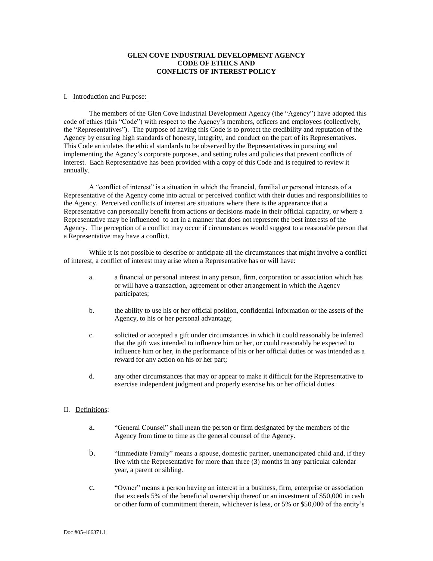# **GLEN COVE INDUSTRIAL DEVELOPMENT AGENCY CODE OF ETHICS AND CONFLICTS OF INTEREST POLICY**

#### I. Introduction and Purpose:

The members of the Glen Cove Industrial Development Agency (the "Agency") have adopted this code of ethics (this "Code") with respect to the Agency's members, officers and employees (collectively, the "Representatives"). The purpose of having this Code is to protect the credibility and reputation of the Agency by ensuring high standards of honesty, integrity, and conduct on the part of its Representatives. This Code articulates the ethical standards to be observed by the Representatives in pursuing and implementing the Agency's corporate purposes, and setting rules and policies that prevent conflicts of interest. Each Representative has been provided with a copy of this Code and is required to review it annually.

A "conflict of interest" is a situation in which the financial, familial or personal interests of a Representative of the Agency come into actual or perceived conflict with their duties and responsibilities to the Agency. Perceived conflicts of interest are situations where there is the appearance that a Representative can personally benefit from actions or decisions made in their official capacity, or where a Representative may be influenced to act in a manner that does not represent the best interests of the Agency. The perception of a conflict may occur if circumstances would suggest to a reasonable person that a Representative may have a conflict.

While it is not possible to describe or anticipate all the circumstances that might involve a conflict of interest, a conflict of interest may arise when a Representative has or will have:

- a. a financial or personal interest in any person, firm, corporation or association which has or will have a transaction, agreement or other arrangement in which the Agency participates;
- b. the ability to use his or her official position, confidential information or the assets of the Agency, to his or her personal advantage;
- c. solicited or accepted a gift under circumstances in which it could reasonably be inferred that the gift was intended to influence him or her, or could reasonably be expected to influence him or her, in the performance of his or her official duties or was intended as a reward for any action on his or her part;
- d. any other circumstances that may or appear to make it difficult for the Representative to exercise independent judgment and properly exercise his or her official duties.

## II. Definitions:

- a. "General Counsel" shall mean the person or firm designated by the members of the Agency from time to time as the general counsel of the Agency.
- b. "Immediate Family" means a spouse, domestic partner, unemancipated child and, if they live with the Representative for more than three (3) months in any particular calendar year, a parent or sibling.
- c. "Owner" means a person having an interest in a business, firm, enterprise or association that exceeds 5% of the beneficial ownership thereof or an investment of \$50,000 in cash or other form of commitment therein, whichever is less, or 5% or \$50,000 of the entity's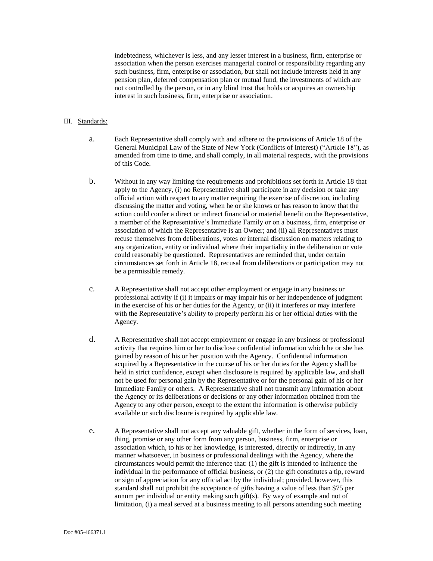indebtedness, whichever is less, and any lesser interest in a business, firm, enterprise or association when the person exercises managerial control or responsibility regarding any such business, firm, enterprise or association, but shall not include interests held in any pension plan, deferred compensation plan or mutual fund, the investments of which are not controlled by the person, or in any blind trust that holds or acquires an ownership interest in such business, firm, enterprise or association.

## III. Standards:

- a. Each Representative shall comply with and adhere to the provisions of Article 18 of the General Municipal Law of the State of New York (Conflicts of Interest) ("Article 18"), as amended from time to time, and shall comply, in all material respects, with the provisions of this Code.
- b. Without in any way limiting the requirements and prohibitions set forth in Article 18 that apply to the Agency, (i) no Representative shall participate in any decision or take any official action with respect to any matter requiring the exercise of discretion, including discussing the matter and voting, when he or she knows or has reason to know that the action could confer a direct or indirect financial or material benefit on the Representative, a member of the Representative's Immediate Family or on a business, firm, enterprise or association of which the Representative is an Owner; and (ii) all Representatives must recuse themselves from deliberations, votes or internal discussion on matters relating to any organization, entity or individual where their impartiality in the deliberation or vote could reasonably be questioned. Representatives are reminded that, under certain circumstances set forth in Article 18, recusal from deliberations or participation may not be a permissible remedy.
- c. A Representative shall not accept other employment or engage in any business or professional activity if (i) it impairs or may impair his or her independence of judgment in the exercise of his or her duties for the Agency, or (ii) it interferes or may interfere with the Representative's ability to properly perform his or her official duties with the Agency.
- d. A Representative shall not accept employment or engage in any business or professional activity that requires him or her to disclose confidential information which he or she has gained by reason of his or her position with the Agency. Confidential information acquired by a Representative in the course of his or her duties for the Agency shall be held in strict confidence, except when disclosure is required by applicable law, and shall not be used for personal gain by the Representative or for the personal gain of his or her Immediate Family or others. A Representative shall not transmit any information about the Agency or its deliberations or decisions or any other information obtained from the Agency to any other person, except to the extent the information is otherwise publicly available or such disclosure is required by applicable law.
- e. A Representative shall not accept any valuable gift, whether in the form of services, loan, thing, promise or any other form from any person, business, firm, enterprise or association which, to his or her knowledge, is interested, directly or indirectly, in any manner whatsoever, in business or professional dealings with the Agency, where the circumstances would permit the inference that: (1) the gift is intended to influence the individual in the performance of official business, or (2) the gift constitutes a tip, reward or sign of appreciation for any official act by the individual; provided, however, this standard shall not prohibit the acceptance of gifts having a value of less than \$75 per annum per individual or entity making such gift(s). By way of example and not of limitation, (i) a meal served at a business meeting to all persons attending such meeting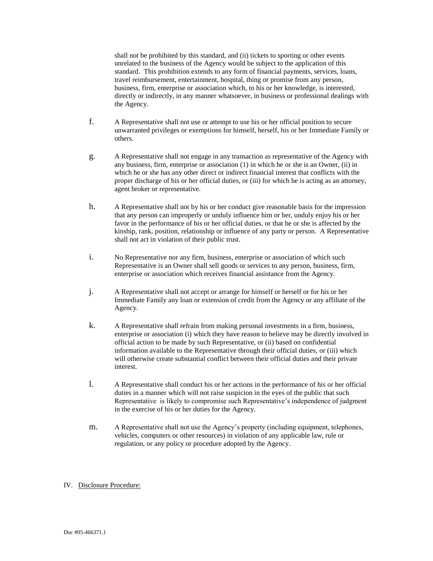shall not be prohibited by this standard, and (ii) tickets to sporting or other events unrelated to the business of the Agency would be subject to the application of this standard. This prohibition extends to any form of financial payments, services, loans, travel reimbursement, entertainment, hospital, thing or promise from any person, business, firm, enterprise or association which, to his or her knowledge, is interested, directly or indirectly, in any manner whatsoever, in business or professional dealings with the Agency.

- f. A Representative shall not use or attempt to use his or her official position to secure unwarranted privileges or exemptions for himself, herself, his or her Immediate Family or others.
- g. A Representative shall not engage in any transaction as representative of the Agency with any business, firm, enterprise or association (1) in which he or she is an Owner, (ii) in which he or she has any other direct or indirect financial interest that conflicts with the proper discharge of his or her official duties, or (iii) for which he is acting as an attorney, agent broker or representative.
- h. A Representative shall not by his or her conduct give reasonable basis for the impression that any person can improperly or unduly influence him or her, unduly enjoy his or her favor in the performance of his or her official duties, or that he or she is affected by the kinship, rank, position, relationship or influence of any party or person. A Representative shall not act in violation of their public trust.
- i. No Representative nor any firm, business, enterprise or association of which such Representative is an Owner shall sell goods or services to any person, business, firm, enterprise or association which receives financial assistance from the Agency.
- j. A Representative shall not accept or arrange for himself or herself or for his or her Immediate Family any loan or extension of credit from the Agency or any affiliate of the Agency.
- k. A Representative shall refrain from making personal investments in a firm, business, enterprise or association (i) which they have reason to believe may be directly involved in official action to be made by such Representative, or (ii) based on confidential information available to the Representative through their official duties, or (iii) which will otherwise create substantial conflict between their official duties and their private interest.
- l. A Representative shall conduct his or her actions in the performance of his or her official duties in a manner which will not raise suspicion in the eyes of the public that such Representative is likely to compromise such Representative's independence of judgment in the exercise of his or her duties for the Agency.
- m. A Representative shall not use the Agency's property (including equipment, telephones, vehicles, computers or other resources) in violation of any applicable law, rule or regulation, or any policy or procedure adopted by the Agency.

# IV. Disclosure Procedure: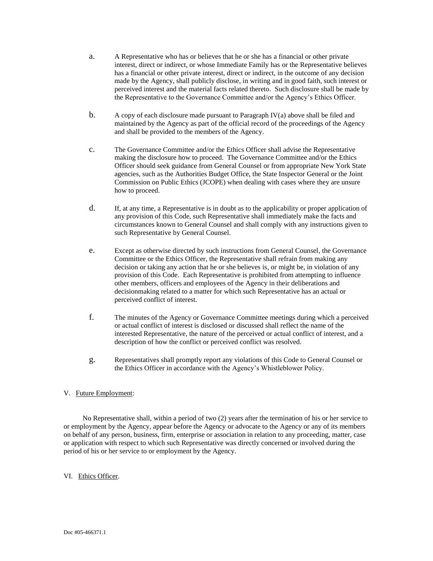- a. A Representative who has or believes that he or she has a financial or other private interest, direct or indirect, or whose Immediate Family has or the Representative believes has a financial or other private interest, direct or indirect, in the outcome of any decision made by the Agency, shall publicly disclose, in writing and in good faith, such interest or perceived interest and the material facts related thereto. Such disclosure shall be made by the Representative to the Governance Committee and/or the Agency's Ethics Officer.
- b. A copy of each disclosure made pursuant to Paragraph IV(a) above shall be filed and maintained by the Agency as part of the official record of the proceedings of the Agency and shall be provided to the members of the Agency.
- c. The Governance Committee and/or the Ethics Officer shall advise the Representative making the disclosure how to proceed. The Governance Committee and/or the Ethics Officer should seek guidance from General Counsel or from appropriate New York State agencies, such as the Authorities Budget Office, the State Inspector General or the Joint Commission on Public Ethics (JCOPE) when dealing with cases where they are unsure how to proceed.
- d. If, at any time, a Representative is in doubt as to the applicability or proper application of any provision of this Code, such Representative shall immediately make the facts and circumstances known to General Counsel and shall comply with any instructions given to such Representative by General Counsel.
- e. Except as otherwise directed by such instructions from General Counsel, the Governance Committee or the Ethics Officer, the Representative shall refrain from making any decision or taking any action that he or she believes is, or might be, in violation of any provision of this Code. Each Representative is prohibited from attempting to influence other members, officers and employees of the Agency in their deliberations and decisionmaking related to a matter for which such Representative has an actual or perceived conflict of interest.
- f. The minutes of the Agency or Governance Committee meetings during which a perceived or actual conflict of interest is disclosed or discussed shall reflect the name of the interested Representative, the nature of the perceived or actual conflict of interest, and a description of how the conflict or perceived conflict was resolved.
- g. Representatives shall promptly report any violations of this Code to General Counsel or the Ethics Officer in accordance with the Agency's Whistleblower Policy.

# V. Future Employment:

 No Representative shall, within a period of two (2) years after the termination of his or her service to or employment by the Agency, appear before the Agency or advocate to the Agency or any of its members on behalf of any person, business, firm, enterprise or association in relation to any proceeding, matter, case or application with respect to which such Representative was directly concerned or involved during the period of his or her service to or employment by the Agency.

## VI. Ethics Officer.